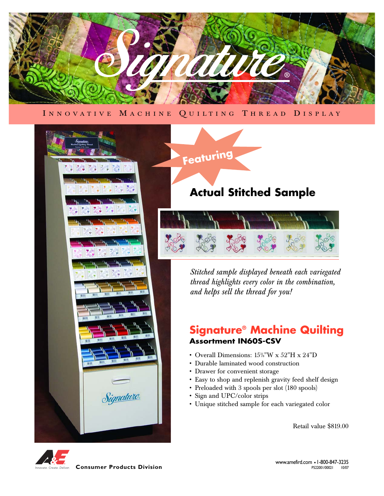

INNOVATIVE MACHINE QUILTING THREAD DISPLAY



# **Featuring**

# **Actual Stitched Sample**



*Stitched sample displayed beneath each variegated thread highlights every color in the combination, and helps sell the thread for you!*

## **Signature® Machine Quilting Assortment IN60S-CSV**

- Overall Dimensions:  $15\frac{3}{8}$ "W x  $52"$ H x  $24"$ D
- Durable laminated wood construction
- Drawer for convenient storage
- Easy to shop and replenish gravity feed shelf design
- Preloaded with 3 spools per slot (180 spools)
- Sign and UPC/color strips
- Unique stitched sample for each variegated color

Retail value \$819.00